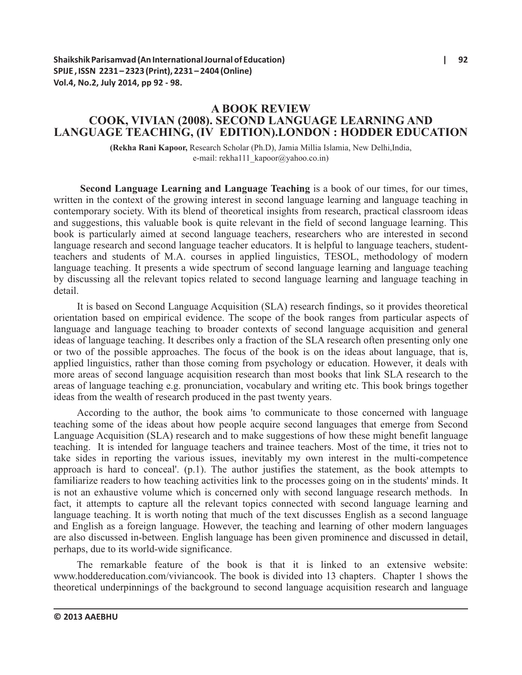# **A BOOK REVIEW COOK, VIVIAN (2008). SECOND LANGUAGE LEARNING AND LANGUAGE TEACHING, (IV EDITION).LONDON : HODDER EDUCATION**

**(Rekha Rani Kapoor,** Research Scholar (Ph.D), Jamia Millia Islamia, New Delhi,India, e-mail: rekha111\_kapoor@yahoo.co.in)

**Second Language Learning and Language Teaching** is a book of our times, for our times, written in the context of the growing interest in second language learning and language teaching in contemporary society. With its blend of theoretical insights from research, practical classroom ideas and suggestions, this valuable book is quite relevant in the field of second language learning. This book is particularly aimed at second language teachers, researchers who are interested in second language research and second language teacher educators. It is helpful to language teachers, studentteachers and students of M.A. courses in applied linguistics, TESOL, methodology of modern language teaching. It presents a wide spectrum of second language learning and language teaching by discussing all the relevant topics related to second language learning and language teaching in detail.

It is based on Second Language Acquisition (SLA) research findings, so it provides theoretical orientation based on empirical evidence. The scope of the book ranges from particular aspects of language and language teaching to broader contexts of second language acquisition and general ideas of language teaching. It describes only a fraction of the SLA research often presenting only one or two of the possible approaches. The focus of the book is on the ideas about language, that is, applied linguistics, rather than those coming from psychology or education. However, it deals with more areas of second language acquisition research than most books that link SLA research to the areas of language teaching e.g. pronunciation, vocabulary and writing etc. This book brings together ideas from the wealth of research produced in the past twenty years.

According to the author, the book aims 'to communicate to those concerned with language teaching some of the ideas about how people acquire second languages that emerge from Second Language Acquisition (SLA) research and to make suggestions of how these might benefit language teaching. It is intended for language teachers and trainee teachers. Most of the time, it tries not to take sides in reporting the various issues, inevitably my own interest in the multi-competence approach is hard to conceal'. (p.1). The author justifies the statement, as the book attempts to familiarize readers to how teaching activities link to the processes going on in the students' minds. It is not an exhaustive volume which is concerned only with second language research methods. In fact, it attempts to capture all the relevant topics connected with second language learning and language teaching. It is worth noting that much of the text discusses English as a second language and English as a foreign language. However, the teaching and learning of other modern languages are also discussed in-between. English language has been given prominence and discussed in detail, perhaps, due to its world-wide significance.

The remarkable feature of the book is that it is linked to an extensive website: www.hoddereducation.com/viviancook. The book is divided into 13 chapters. Chapter 1 shows the theoretical underpinnings of the background to second language acquisition research and language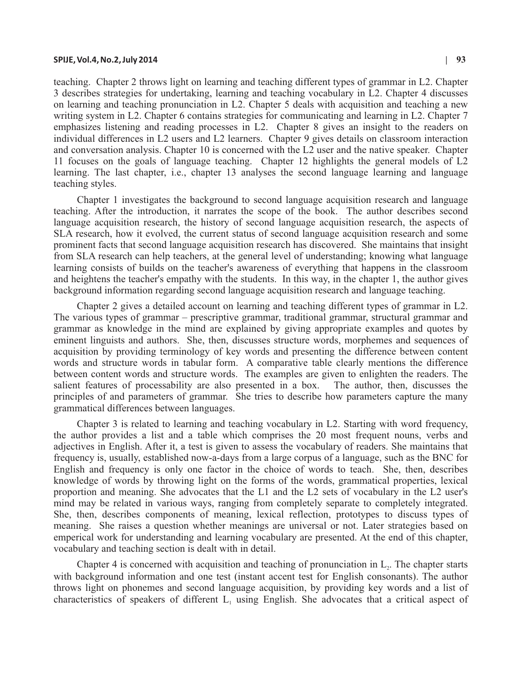### **SPIJE, Vol.4, No.2, July 2014 | 93**

teaching. Chapter 2 throws light on learning and teaching different types of grammar in L2. Chapter 3 describes strategies for undertaking, learning and teaching vocabulary in L2. Chapter 4 discusses on learning and teaching pronunciation in L2. Chapter 5 deals with acquisition and teaching a new writing system in L2. Chapter 6 contains strategies for communicating and learning in L2. Chapter 7 emphasizes listening and reading processes in L2. Chapter 8 gives an insight to the readers on individual differences in L2 users and L2 learners. Chapter 9 gives details on classroom interaction and conversation analysis. Chapter 10 is concerned with the L2 user and the native speaker. Chapter 11 focuses on the goals of language teaching. Chapter 12 highlights the general models of L2 learning. The last chapter, i.e., chapter 13 analyses the second language learning and language teaching styles.

Chapter 1 investigates the background to second language acquisition research and language teaching. After the introduction, it narrates the scope of the book. The author describes second language acquisition research, the history of second language acquisition research, the aspects of SLA research, how it evolved, the current status of second language acquisition research and some prominent facts that second language acquisition research has discovered. She maintains that insight from SLA research can help teachers, at the general level of understanding; knowing what language learning consists of builds on the teacher's awareness of everything that happens in the classroom and heightens the teacher's empathy with the students. In this way, in the chapter 1, the author gives background information regarding second language acquisition research and language teaching.

Chapter 2 gives a detailed account on learning and teaching different types of grammar in L2. The various types of grammar – prescriptive grammar, traditional grammar, structural grammar and grammar as knowledge in the mind are explained by giving appropriate examples and quotes by eminent linguists and authors. She, then, discusses structure words, morphemes and sequences of acquisition by providing terminology of key words and presenting the difference between content words and structure words in tabular form. A comparative table clearly mentions the difference between content words and structure words. The examples are given to enlighten the readers. The salient features of processability are also presented in a box. The author, then, discusses the principles of and parameters of grammar. She tries to describe how parameters capture the many grammatical differences between languages.

Chapter 3 is related to learning and teaching vocabulary in L2. Starting with word frequency, the author provides a list and a table which comprises the 20 most frequent nouns, verbs and adjectives in English. After it, a test is given to assess the vocabulary of readers. She maintains that frequency is, usually, established now-a-days from a large corpus of a language, such as the BNC for English and frequency is only one factor in the choice of words to teach. She, then, describes knowledge of words by throwing light on the forms of the words, grammatical properties, lexical proportion and meaning. She advocates that the L1 and the L2 sets of vocabulary in the L2 user's mind may be related in various ways, ranging from completely separate to completely integrated. She, then, describes components of meaning, lexical reflection, prototypes to discuss types of meaning. She raises a question whether meanings are universal or not. Later strategies based on emperical work for understanding and learning vocabulary are presented. At the end of this chapter, vocabulary and teaching section is dealt with in detail.

Chapter 4 is concerned with acquisition and teaching of pronunciation in  $L<sub>2</sub>$ . The chapter starts with background information and one test (instant accent test for English consonants). The author throws light on phonemes and second language acquisition, by providing key words and a list of characteristics of speakers of different  $L<sub>1</sub>$  using English. She advocates that a critical aspect of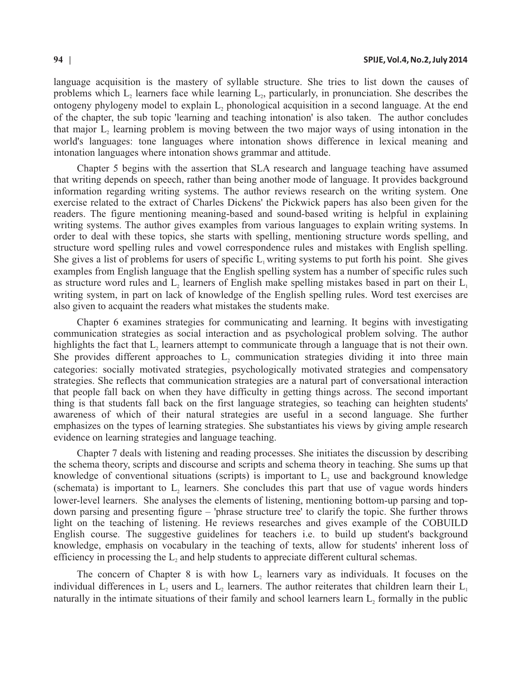language acquisition is the mastery of syllable structure. She tries to list down the causes of problems which  $L_2$  learners face while learning  $L_2$ , particularly, in pronunciation. She describes the ontogeny phylogeny model to explain L, phonological acquisition in a second language. At the end of the chapter, the sub topic 'learning and teaching intonation' is also taken. The author concludes that major L, learning problem is moving between the two major ways of using intonation in the world's languages: tone languages where intonation shows difference in lexical meaning and intonation languages where intonation shows grammar and attitude.

Chapter 5 begins with the assertion that SLA research and language teaching have assumed that writing depends on speech, rather than being another mode of language. It provides background information regarding writing systems. The author reviews research on the writing system. One exercise related to the extract of Charles Dickens' the Pickwick papers has also been given for the readers. The figure mentioning meaning-based and sound-based writing is helpful in explaining writing systems. The author gives examples from various languages to explain writing systems. In order to deal with these topics, she starts with spelling, mentioning structure words spelling, and structure word spelling rules and vowel correspondence rules and mistakes with English spelling. She gives a list of problems for users of specific  $L_1$  writing systems to put forth his point. She gives examples from English language that the English spelling system has a number of specific rules such as structure word rules and  $L_2$  learners of English make spelling mistakes based in part on their  $L_1$ writing system, in part on lack of knowledge of the English spelling rules. Word test exercises are also given to acquaint the readers what mistakes the students make.

Chapter 6 examines strategies for communicating and learning. It begins with investigating communication strategies as social interaction and as psychological problem solving. The author highlights the fact that L, learners attempt to communicate through a language that is not their own. She provides different approaches to  $L<sub>2</sub>$  communication strategies dividing it into three main categories: socially motivated strategies, psychologically motivated strategies and compensatory strategies. She reflects that communication strategies are a natural part of conversational interaction that people fall back on when they have difficulty in getting things across. The second important thing is that students fall back on the first language strategies, so teaching can heighten students' awareness of which of their natural strategies are useful in a second language. She further emphasizes on the types of learning strategies. She substantiates his views by giving ample research evidence on learning strategies and language teaching.

Chapter 7 deals with listening and reading processes. She initiates the discussion by describing the schema theory, scripts and discourse and scripts and schema theory in teaching. She sums up that knowledge of conventional situations (scripts) is important to  $L<sub>2</sub>$  use and background knowledge (schemata) is important to  $L$ , learners. She concludes this part that use of vague words hinders lower-level learners. She analyses the elements of listening, mentioning bottom-up parsing and topdown parsing and presenting figure – 'phrase structure tree' to clarify the topic. She further throws light on the teaching of listening. He reviews researches and gives example of the COBUILD English course. The suggestive guidelines for teachers i.e. to build up student's background knowledge, emphasis on vocabulary in the teaching of texts, allow for students' inherent loss of efficiency in processing the  $L_2$  and help students to appreciate different cultural schemas.

The concern of Chapter 8 is with how  $L<sub>2</sub>$  learners vary as individuals. It focuses on the individual differences in  $L_2$  users and  $L_2$  learners. The author reiterates that children learn their  $L_1$ naturally in the intimate situations of their family and school learners learn  $L_2$  formally in the public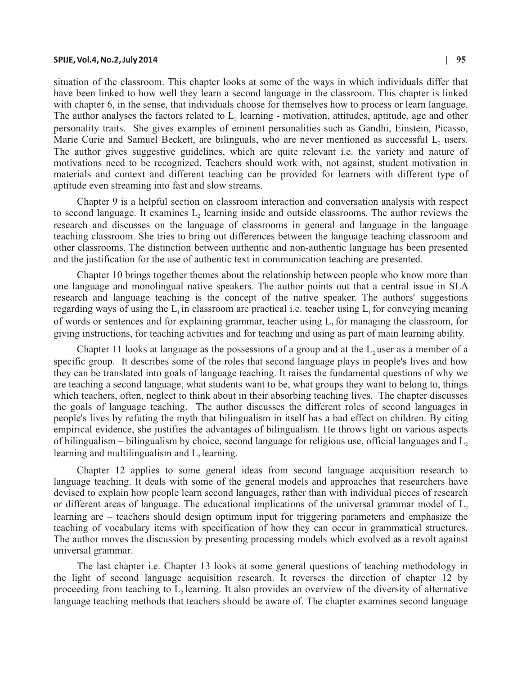### **SPIJE, Vol.4, No.2, July 2014 | 95**

situation of the classroom. This chapter looks at some of the ways in which individuals differ that have been linked to how well they learn a second language in the classroom. This chapter is linked with chapter 6, in the sense, that individuals choose for themselves how to process or learn language. The author analyses the factors related to  $L<sub>2</sub>$  learning - motivation, attitudes, aptitude, age and other personality traits. She gives examples of eminent personalities such as Gandhi, Einstein, Picasso, Marie Curie and Samuel Beckett, are bilinguals, who are never mentioned as successful  $L<sub>2</sub>$  users. The author gives suggestive guidelines, which are quite relevant i.e. the variety and nature of motivations need to be recognized. Teachers should work with, not against, student motivation in materials and context and different teaching can be provided for learners with different type of aptitude even streaming into fast and slow streams.

Chapter 9 is a helpful section on classroom interaction and conversation analysis with respect to second language. It examines  $L<sub>2</sub>$  learning inside and outside classrooms. The author reviews the research and discusses on the language of classrooms in general and language in the language teaching classroom. She tries to bring out differences between the language teaching classroom and other classrooms. The distinction between authentic and non-authentic language has been presented and the justification for the use of authentic text in communication teaching are presented.

Chapter 10 brings together themes about the relationship between people who know more than one language and monolingual native speakers. The author points out that a central issue in SLA research and language teaching is the concept of the native speaker. The authors' suggestions regarding ways of using the  $L_1$  in classroom are practical i.e. teacher using  $L_1$  for conveying meaning of words or sentences and for explaining grammar, teacher using  $L<sub>1</sub>$  for managing the classroom, for giving instructions, for teaching activities and for teaching and using as part of main learning ability.

Chapter 11 looks at language as the possessions of a group and at the  $L$ , user as a member of a specific group. It describes some of the roles that second language plays in people's lives and how they can be translated into goals of language teaching. It raises the fundamental questions of why we are teaching a second language, what students want to be, what groups they want to belong to, things which teachers, often, neglect to think about in their absorbing teaching lives. The chapter discusses the goals of language teaching. The author discusses the different roles of second languages in people's lives by refuting the myth that bilingualism in itself has a bad effect on children. By citing empirical evidence, she justifies the advantages of bilingualism. He throws light on various aspects of bilingualism – bilingualism by choice, second language for religious use, official languages and  $L<sub>2</sub>$ learning and multilingualism and  $L_1$  learning.

Chapter 12 applies to some general ideas from second language acquisition research to language teaching. It deals with some of the general models and approaches that researchers have devised to explain how people learn second languages, rather than with individual pieces of research or different areas of language. The educational implications of the universal grammar model of  $L<sub>2</sub>$ learning are – teachers should design optimum input for triggering parameters and emphasize the teaching of vocabulary items with specification of how they can occur in grammatical structures. The author moves the discussion by presenting processing models which evolved as a revolt against universal grammar.

The last chapter i.e. Chapter 13 looks at some general questions of teaching methodology in the light of second language acquisition research. It reverses the direction of chapter 12 by proceeding from teaching to L, learning. It also provides an overview of the diversity of alternative language teaching methods that teachers should be aware of. The chapter examines second language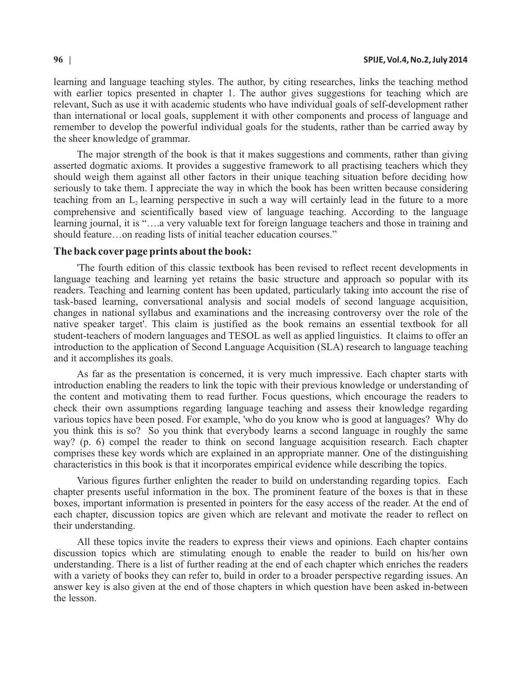learning and language teaching styles. The author, by citing researches, links the teaching method with earlier topics presented in chapter 1. The author gives suggestions for teaching which are relevant, Such as use it with academic students who have individual goals of self-development rather than international or local goals, supplement it with other components and process of language and remember to develop the powerful individual goals for the students, rather than be carried away by the sheer knowledge of grammar.

The major strength of the book is that it makes suggestions and comments, rather than giving asserted dogmatic axioms. It provides a suggestive framework to all practising teachers which they should weigh them against all other factors in their unique teaching situation before deciding how seriously to take them. I appreciate the way in which the book has been written because considering teaching from an L, learning perspective in such a way will certainly lead in the future to a more comprehensive and scientifically based view of language teaching. According to the language learning journal, it is "….a very valuable text for foreign language teachers and those in training and should feature…on reading lists of initial teacher education courses."

## **The back coverpage prints about the book:**

'The fourth edition of this classic textbook has been revised to reflect recent developments in language teaching and learning yet retains the basic structure and approach so popular with its readers. Teaching and learning content has been updated, particularly taking into account the rise of task-based learning, conversational analysis and social models of second language acquisition, changes in national syllabus and examinations and the increasing controversy over the role of the native speaker target'. This claim is justified as the book remains an essential textbook for all student-teachers of modern languages and TESOL as well as applied linguistics. It claims to offer an introduction to the application of Second Language Acquisition (SLA) research to language teaching and it accomplishes its goals.

As far as the presentation is concerned, it is very much impressive. Each chapter starts with introduction enabling the readers to link the topic with their previous knowledge or understanding of the content and motivating them to read further. Focus questions, which encourage the readers to check their own assumptions regarding language teaching and assess their knowledge regarding various topics have been posed. For example, 'who do you know who is good at languages? Why do you think this is so? So you think that everybody learns a second language in roughly the same way? (p. 6) compel the reader to think on second language acquisition research. Each chapter comprises these key words which are explained in an appropriate manner. One of the distinguishing characteristics in this book is that it incorporates empirical evidence while describing the topics.

Various figures further enlighten the reader to build on understanding regarding topics. Each chapter presents useful information in the box. The prominent feature of the boxes is that in these boxes, important information is presented in pointers for the easy access of the reader. At the end of each chapter, discussion topics are given which are relevant and motivate the reader to reflect on their understanding.

All these topics invite the readers to express their views and opinions. Each chapter contains discussion topics which are stimulating enough to enable the reader to build on his/her own understanding. There is a list of further reading at the end of each chapter which enriches the readers with a variety of books they can refer to, build in order to a broader perspective regarding issues. An answer key is also given at the end of those chapters in which question have been asked in-between the lesson.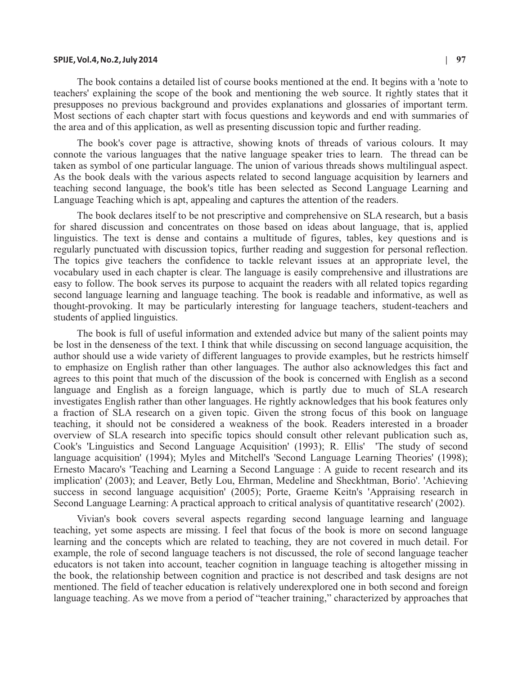### **SPIJE, Vol.4, No.2, July 2014 | 97**

The book contains a detailed list of course books mentioned at the end. It begins with a 'note to teachers' explaining the scope of the book and mentioning the web source. It rightly states that it presupposes no previous background and provides explanations and glossaries of important term. Most sections of each chapter start with focus questions and keywords and end with summaries of the area and of this application, as well as presenting discussion topic and further reading.

The book's cover page is attractive, showing knots of threads of various colours. It may connote the various languages that the native language speaker tries to learn. The thread can be taken as symbol of one particular language. The union of various threads shows multilingual aspect. As the book deals with the various aspects related to second language acquisition by learners and teaching second language, the book's title has been selected as Second Language Learning and Language Teaching which is apt, appealing and captures the attention of the readers.

The book declares itself to be not prescriptive and comprehensive on SLA research, but a basis for shared discussion and concentrates on those based on ideas about language, that is, applied linguistics. The text is dense and contains a multitude of figures, tables, key questions and is regularly punctuated with discussion topics, further reading and suggestion for personal reflection. The topics give teachers the confidence to tackle relevant issues at an appropriate level, the vocabulary used in each chapter is clear. The language is easily comprehensive and illustrations are easy to follow. The book serves its purpose to acquaint the readers with all related topics regarding second language learning and language teaching. The book is readable and informative, as well as thought-provoking. It may be particularly interesting for language teachers, student-teachers and students of applied linguistics.

The book is full of useful information and extended advice but many of the salient points may be lost in the denseness of the text. I think that while discussing on second language acquisition, the author should use a wide variety of different languages to provide examples, but he restricts himself to emphasize on English rather than other languages. The author also acknowledges this fact and agrees to this point that much of the discussion of the book is concerned with English as a second language and English as a foreign language, which is partly due to much of SLA research investigates English rather than other languages. He rightly acknowledges that his book features only a fraction of SLA research on a given topic. Given the strong focus of this book on language teaching, it should not be considered a weakness of the book. Readers interested in a broader overview of SLA research into specific topics should consult other relevant publication such as, Cook's 'Linguistics and Second Language Acquisition' (1993); R. Ellis' 'The study of second language acquisition' (1994); Myles and Mitchell's 'Second Language Learning Theories' (1998); Ernesto Macaro's 'Teaching and Learning a Second Language : A guide to recent research and its implication' (2003); and Leaver, Betly Lou, Ehrman, Medeline and Sheckhtman, Borio'. 'Achieving success in second language acquisition' (2005); Porte, Graeme Keitn's 'Appraising research in Second Language Learning: A practical approach to critical analysis of quantitative research' (2002).

Vivian's book covers several aspects regarding second language learning and language teaching, yet some aspects are missing. I feel that focus of the book is more on second language learning and the concepts which are related to teaching, they are not covered in much detail. For example, the role of second language teachers is not discussed, the role of second language teacher educators is not taken into account, teacher cognition in language teaching is altogether missing in the book, the relationship between cognition and practice is not described and task designs are not mentioned. The field of teacher education is relatively underexplored one in both second and foreign language teaching. As we move from a period of "teacher training," characterized by approaches that